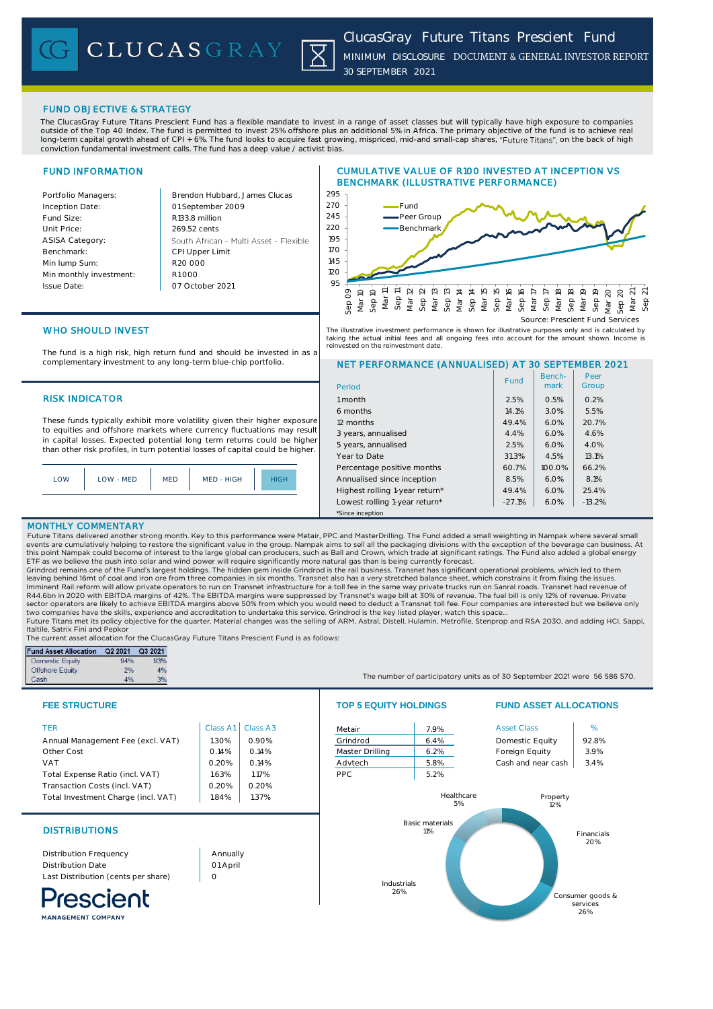CLUCASGRAY



# FUND OBJECTIVE & STRATEGY

The ClucasGray Future Titans Prescient Fund has a flexible mandate to invest in a range of asset classes but will typically have high exposure to companies outside of the Top 40 Index. The fund is permitted to invest 25% offshore plus an additional 5% in Africa. The primary objective of the fund is to achieve real long-term capital growth ahead of CPI + 6%. The fund looks to acquire fast growing, mispriced, mid-and small-cap shares, "Future Titans", on the back of high conviction fundamental investment calls. The fund has a deep value / activist bias.

# FUND INFORMATION

Portfolio Managers: **Brendon Hubbard, James Clucas** 01 September 2009 Inception Date: Fund Size: R133.8 million Unit Price: 269.52 cents ASISA Category: South African - Multi Asset - Flexible Benchmark: CPI Upper Limit R20 000 Min lump Sum: Min monthly investment: R1 000 Issue Date: 07 October 2021





NET PERFORMANCE (ANNUALISED) AT 30 SEPTEMBER 2021

The illustrative investment performance is shown for illustrative purposes only and is calculated by taking the actual initial fees and all ongoing fees into account for the amount shown. Income is reinvested on the reinvestment date.

6 months 14.1% 3.0% 5.5% 12 months 10 and 20.7% 12 months 12 months 12 months 12 months 20.7% 20.7% 3 years, annualised 4.4% 6.0% 4.6% 5 years, annualised 2.5% 6.0% 4.0% Year to Date 31.3% 2.5% 2.5% 13.1% Percentage positive months  $\begin{vmatrix} 60.7\% & 100.0\% \end{vmatrix}$  66.2% Annualised since inception **8.5% 6.0% 8.1%** Highest rolling 1-year return\*  $49.4\%$  6.0% 25.4% Lowest rolling 1-year return\* | -27.1% | 6.0% | -13.2%

# WHO SHOULD INVEST

The fund is a high risk, high return fund and should be invested in as a complementary investment to any long-term blue-chip portfolio.

## RISK INDICATOR 1 month 1 month 2.5% 0.5% 0.2%

These funds typically exhibit more volatility given their higher exposure to equities and offshore markets where currency fluctuations may result in capital losses. Expected potential long term returns could be higher than other risk profiles, in turn potential losses of capital could be higher.

| LOW | LOW - MED | <b>MED</b> | MED - HIGH | HIGH. |
|-----|-----------|------------|------------|-------|
|     |           |            |            |       |

## MONTHLY COMMENTARY

Future Titans delivered another strong month. Key to this performance were Metair, PPC and MasterDrilling. The Fund added a small weighting in Nampak where several small events are cumulatively helping to restore the significant value in the group. Nampak aims to sell all the packaging divisions with the exception of the beverage can business. At this point Nampak could become of interest to the large global can producers, such as Ball and Crown, which trade at significant ratings. The Fund also added a global energy ETF as we believe the push into solar and wind power will require significantly more natural gas than is being currently forecast.

\*Since inception

Period

Grindrod remains one of the Fund's largest holdings. The hidden gem inside Grindrod is the rail business. Transnet has significant operational problems, which led to them leaving behind 16mt of coal and iron ore from three companies in six months. Transnet also has a very stretched balance sheet, which constrains it from fixing the issues. Imminent Rail reform will allow private operators to run on Transnet infrastructure for a toll fee in the same way private trucks run on Sanral roads. Transnet had revenue of<br>R44.6bn in 2020 with EBITDA margins of 42%. The sector operators are likely to achieve EBITDA margins above 50% from which you would need to deduct a Transnet toll fee. Four companies are interested but we believe only<br>two companies have the skills, experience and accre

Italtile, Satrix Fini and Pepkor

The current asset allocation for the ClucasGray Future Titans Prescient Fund is as follows:

| <b>Fund Asset Allocation</b> | Q2 2021 | Q3 2021 |
|------------------------------|---------|---------|
| <b>Domestic Equity</b>       | 94%     | 93%     |
| <b>Offshore Equity</b>       | 2%      | 4%      |
| Cash                         | 4%      | 3%      |



| <b>TER</b>                          | Class A1 | Class A3 | Metair          | 7.9%       | <b>Asset Class</b> | %     |
|-------------------------------------|----------|----------|-----------------|------------|--------------------|-------|
| Annual Management Fee (excl. VAT)   | 1.30%    | 0.90%    | Grindrod        | 6.4%       | Domestic Equity    | 92.8% |
| Other Cost                          | 0.14%    | 0.14%    | Master Drilling | 6.2%       | Foreign Equity     | 3.9%  |
| <b>VAT</b>                          | 0.20%    | 0.14%    | Advtech         | 5.8%       | Cash and near cash | 3.4%  |
| Total Expense Ratio (incl. VAT)     | 1.63%    | 17%      | PPC.            | 5.2%       |                    |       |
| Transaction Costs (incl. VAT)       | 0.20%    | 0.20%    |                 |            |                    |       |
| Total Investment Charge (incl. VAT) | 1.84%    | .37%     |                 | Healthcare | Property           |       |
|                                     |          |          |                 | 5%         | 12%                |       |

# **DISTRIBUTIONS**

Distribution Frequency Distribution Date Last Distribution (cents per share)

rescient

Annually 01 April  $\Omega$ 

The number of participatory units as of 30 September 2021 were 56 586 570.

## **FEE STRUCTURE TOP 5 EQUITY HOLDINGS FUND ASSET ALLOCATIONS**

Benchmark

Fund | Bench- | Peer<br>| mark | Group

Peer



MANAGEMENT COMPANY